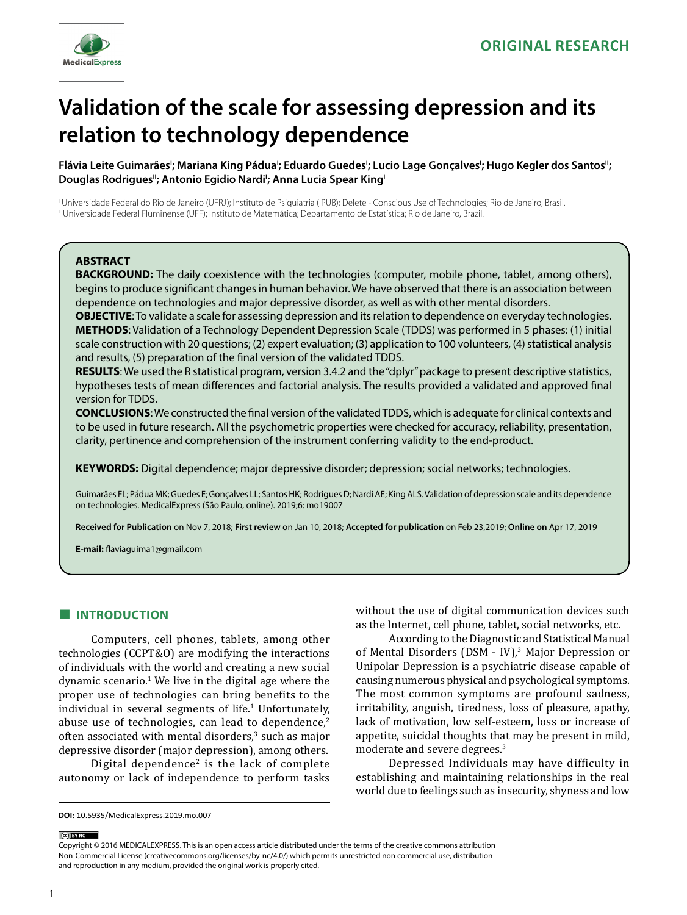

# **Validation of the scale for assessing depression and its relation to technology dependence**

Flávia Leite Guimarães'; Mariana King Pádua'; Eduardo Guedes'; Lucio Lage Gonçalves'; Hugo Kegler dos Santos"; Douglas Rodrigues"; Antonio Egidio Nardi'; Anna Lucia Spear King<sup>|</sup>

I Universidade Federal do Rio de Janeiro (UFRJ); Instituto de Psiquiatria (IPUB); Delete - Conscious Use of Technologies; Rio de Janeiro, Brasil. II Universidade Federal Fluminense (UFF); Instituto de Matemática; Departamento de Estatística; Rio de Janeiro, Brazil.

# **ABSTRACT**

**BACKGROUND:** The daily coexistence with the technologies (computer, mobile phone, tablet, among others), begins to produce significant changes in human behavior. We have observed that there is an association between dependence on technologies and major depressive disorder, as well as with other mental disorders.

**OBJECTIVE**: To validate a scale for assessing depression and its relation to dependence on everyday technologies. **METHODS**: Validation of a Technology Dependent Depression Scale (TDDS) was performed in 5 phases: (1) initial scale construction with 20 questions; (2) expert evaluation; (3) application to 100 volunteers, (4) statistical analysis and results, (5) preparation of the final version of the validated TDDS.

**RESULTS**: We used the R statistical program, version 3.4.2 and the "dplyr" package to present descriptive statistics, hypotheses tests of mean differences and factorial analysis. The results provided a validated and approved final version for TDDS.

**CONCLUSIONS**: We constructed the final version of the validated TDDS, which is adequate for clinical contexts and to be used in future research. All the psychometric properties were checked for accuracy, reliability, presentation, clarity, pertinence and comprehension of the instrument conferring validity to the end-product.

**KEYWORDS:** Digital dependence; major depressive disorder; depression; social networks; technologies.

Guimarães FL; Pádua MK; Guedes E; Gonçalves LL; Santos HK; Rodrigues D; Nardi AE; King ALS. Validation of depression scale and its dependence on technologies. MedicalExpress (São Paulo, online). 2019;6: mo19007

**Received for Publication** on Nov 7, 2018; **First review** on Jan 10, 2018; **Accepted for publication** on Feb 23,2019; **Online on** Apr 17, 2019

**E-mail:** flaviaguima1@gmail.com

# **■ INTRODUCTION**

Computers, cell phones, tablets, among other technologies (CCPT&O) are modifying the interactions of individuals with the world and creating a new social dynamic scenario.1 We live in the digital age where the proper use of technologies can bring benefits to the individual in several segments of  $life.$ <sup>1</sup> Unfortunately, abuse use of technologies, can lead to dependence,<sup>2</sup> often associated with mental disorders,<sup>3</sup> such as major depressive disorder (major depression), among others.

Digital dependence<sup>2</sup> is the lack of complete autonomy or lack of independence to perform tasks without the use of digital communication devices such as the Internet, cell phone, tablet, social networks, etc.

According to the Diagnostic and Statistical Manual of Mental Disorders (DSM - IV),<sup>3</sup> Major Depression or Unipolar Depression is a psychiatric disease capable of causing numerous physical and psychological symptoms. The most common symptoms are profound sadness, irritability, anguish, tiredness, loss of pleasure, apathy, lack of motivation, low self-esteem, loss or increase of appetite, suicidal thoughts that may be present in mild, moderate and severe degrees.3

Depressed Individuals may have difficulty in establishing and maintaining relationships in the real world due to feelings such as insecurity, shyness and low

(ce) BY-NC

Copyright © 2016 MEDICALEXPRESS. This is an open access article distributed under the terms of the creative commons attribution Non-Commercial License [\(creativecommons.org/licenses/by-nc/4.0/\)](http://creativecommons.org/licenses/by-nc/3.0/) which permits unrestricted non commercial use, distribution and reproduction in any medium, provided the original work is properly cited.

**DOI:** 10.5935/MedicalExpress.2019.mo.007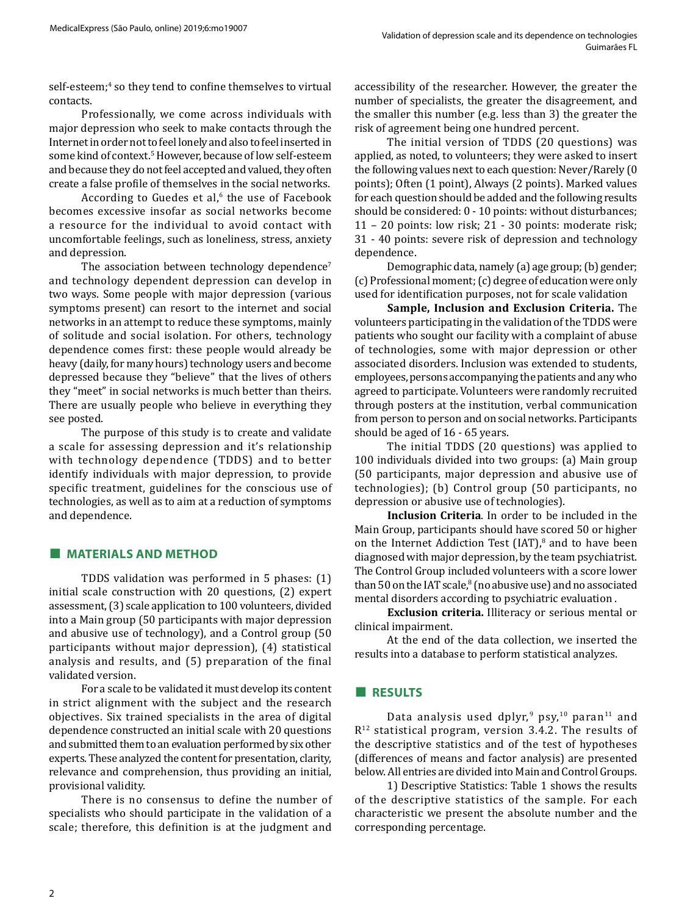self-esteem;<sup>4</sup> so they tend to confine themselves to virtual contacts.

Professionally, we come across individuals with major depression who seek to make contacts through the Internet in order not to feel lonely and also to feel inserted in some kind of context.5 However, because of low self-esteem and because they do not feel accepted and valued, they often create a false profile of themselves in the social networks.

According to Guedes et al,<sup>6</sup> the use of Facebook becomes excessive insofar as social networks become a resource for the individual to avoid contact with uncomfortable feelings, such as loneliness, stress, anxiety and depression.

The association between technology dependence<sup>7</sup> and technology dependent depression can develop in two ways. Some people with major depression (various symptoms present) can resort to the internet and social networks in an attempt to reduce these symptoms, mainly of solitude and social isolation. For others, technology dependence comes first: these people would already be heavy (daily, for many hours) technology users and become depressed because they "believe" that the lives of others they "meet" in social networks is much better than theirs. There are usually people who believe in everything they see posted.

The purpose of this study is to create and validate a scale for assessing depression and it's relationship with technology dependence (TDDS) and to better identify individuals with major depression, to provide specific treatment, guidelines for the conscious use of technologies, as well as to aim at a reduction of symptoms and dependence.

# **■ MATERIALS AND METHOD**

TDDS validation was performed in 5 phases: (1) initial scale construction with 20 questions, (2) expert assessment, (3) scale application to 100 volunteers, divided into a Main group (50 participants with major depression and abusive use of technology), and a Control group (50 participants without major depression), (4) statistical analysis and results, and (5) preparation of the final validated version.

For a scale to be validated it must develop its content in strict alignment with the subject and the research objectives. Six trained specialists in the area of digital dependence constructed an initial scale with 20 questions and submitted them to an evaluation performed by six other experts. These analyzed the content for presentation, clarity, relevance and comprehension, thus providing an initial, provisional validity.

There is no consensus to define the number of specialists who should participate in the validation of a scale; therefore, this definition is at the judgment and

accessibility of the researcher. However, the greater the number of specialists, the greater the disagreement, and the smaller this number (e.g. less than 3) the greater the risk of agreement being one hundred percent.

The initial version of TDDS (20 questions) was applied, as noted, to volunteers; they were asked to insert the following values next to each question: Never/Rarely (0 points); Often (1 point), Always (2 points). Marked values for each question should be added and the following results should be considered: 0 - 10 points: without disturbances; 11 – 20 points: low risk; 21 - 30 points: moderate risk; 31 - 40 points: severe risk of depression and technology dependence.

Demographic data, namely (a) age group; (b) gender; (c) Professional moment; (c) degree of education were only used for identification purposes, not for scale validation

**Sample, Inclusion and Exclusion Criteria.** The volunteers participating in the validation of the TDDS were patients who sought our facility with a complaint of abuse of technologies, some with major depression or other associated disorders. Inclusion was extended to students, employees, persons accompanying the patients and any who agreed to participate. Volunteers were randomly recruited through posters at the institution, verbal communication from person to person and on social networks. Participants should be aged of 16 - 65 years.

The initial TDDS (20 questions) was applied to 100 individuals divided into two groups: (a) Main group (50 participants, major depression and abusive use of technologies); (b) Control group (50 participants, no depression or abusive use of technologies).

**Inclusion Criteria**. In order to be included in the Main Group, participants should have scored 50 or higher on the Internet Addiction Test  $[IAT]$ ,<sup>8</sup> and to have been diagnosed with major depression, by the team psychiatrist. The Control Group included volunteers with a score lower than 50 on the IAT scale,<sup>8</sup> (no abusive use) and no associated mental disorders according to psychiatric evaluation .

**Exclusion criteria.** Illiteracy or serious mental or clinical impairment.

At the end of the data collection, we inserted the results into a database to perform statistical analyzes.

# **■ RESULTS**

Data analysis used dplyr,<sup>9</sup> psy,<sup>10</sup> paran<sup>11</sup> and R12 statistical program, version 3.4.2. The results of the descriptive statistics and of the test of hypotheses (differences of means and factor analysis) are presented below. All entries are divided into Main and Control Groups.

1) Descriptive Statistics: Table 1 shows the results of the descriptive statistics of the sample. For each characteristic we present the absolute number and the corresponding percentage.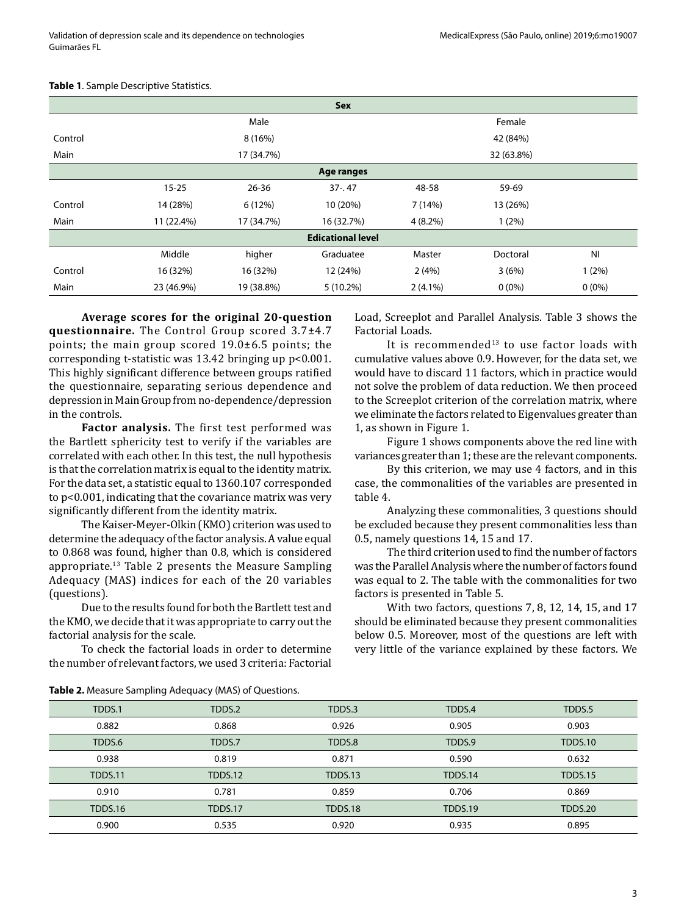| Sex                      |            |                          |             |            |          |           |
|--------------------------|------------|--------------------------|-------------|------------|----------|-----------|
|                          | Male       |                          |             | Female     |          |           |
| Control                  | 8(16%)     |                          |             | 42 (84%)   |          |           |
| Main                     |            | 17 (34.7%)<br>32 (63.8%) |             |            |          |           |
| Age ranges               |            |                          |             |            |          |           |
|                          | $15 - 25$  | $26 - 36$                | $37 - .47$  | 48-58      | 59-69    |           |
| Control                  | 14 (28%)   | 6 (12%)                  | 10 (20%)    | 7(14%)     | 13 (26%) |           |
| Main                     | 11 (22.4%) | 17 (34.7%)               | 16 (32.7%)  | $4(8.2\%)$ | 1(2%)    |           |
| <b>Edicational level</b> |            |                          |             |            |          |           |
|                          | Middle     | higher                   | Graduatee   | Master     | Doctoral | <b>NI</b> |
| Control                  | 16 (32%)   | 16 (32%)                 | 12 (24%)    | 2(4%)      | 3(6%)    | 1(2%)     |
| Main                     | 23 (46.9%) | 19 (38.8%)               | $5(10.2\%)$ | $2(4.1\%)$ | $0(0\%)$ | $0(0\%)$  |

#### **Table 1**. Sample Descriptive Statistics.

**Average scores for the original 20-question questionnaire.** The Control Group scored 3.7±4.7 points; the main group scored 19.0±6.5 points; the corresponding t-statistic was 13.42 bringing up p<0.001. This highly significant difference between groups ratified the questionnaire, separating serious dependence and depression in Main Group from no-dependence/depression in the controls.

**Factor analysis.** The first test performed was the Bartlett sphericity test to verify if the variables are correlated with each other. In this test, the null hypothesis is that the correlation matrix is equal to the identity matrix. For the data set, a statistic equal to 1360.107 corresponded to p<0.001, indicating that the covariance matrix was very significantly different from the identity matrix.

The Kaiser-Meyer-Olkin (KMO) criterion was used to determine the adequacy of the factor analysis. A value equal to 0.868 was found, higher than 0.8, which is considered appropriate.13 Table 2 presents the Measure Sampling Adequacy (MAS) indices for each of the 20 variables (questions).

Due to the results found for both the Bartlett test and the KMO, we decide that it was appropriate to carry out the factorial analysis for the scale.

To check the factorial loads in order to determine the number of relevant factors, we used 3 criteria: Factorial Load, Screeplot and Parallel Analysis. Table 3 shows the Factorial Loads.

It is recommended<sup>13</sup> to use factor loads with cumulative values above 0.9. However, for the data set, we would have to discard 11 factors, which in practice would not solve the problem of data reduction. We then proceed to the Screeplot criterion of the correlation matrix, where we eliminate the factors related to Eigenvalues greater than 1, as shown in Figure 1.

Figure 1 shows components above the red line with variances greater than 1; these are the relevant components.

By this criterion, we may use 4 factors, and in this case, the commonalities of the variables are presented in table 4.

Analyzing these commonalities, 3 questions should be excluded because they present commonalities less than 0.5, namely questions 14, 15 and 17.

The third criterion used to find the number of factors was the Parallel Analysis where the number of factors found was equal to 2. The table with the commonalities for two factors is presented in Table 5.

With two factors, questions 7, 8, 12, 14, 15, and 17 should be eliminated because they present commonalities below 0.5. Moreover, most of the questions are left with very little of the variance explained by these factors. We

| TDDS.1         | TDDS.2  | TDDS.3         | TDDS.4  | TDDS.5         |
|----------------|---------|----------------|---------|----------------|
| 0.882          | 0.868   | 0.926          | 0.905   | 0.903          |
| TDDS.6         | TDDS.7  | TDDS.8         | TDDS.9  | <b>TDDS.10</b> |
| 0.938          | 0.819   | 0.871          | 0.590   | 0.632          |
| <b>TDDS.11</b> | TDDS.12 | TDDS.13        | TDDS.14 | <b>TDDS.15</b> |
| 0.910          | 0.781   | 0.859          | 0.706   | 0.869          |
| <b>TDDS.16</b> | TDDS.17 | <b>TDDS.18</b> | TDDS.19 | <b>TDDS.20</b> |
| 0.900          | 0.535   | 0.920          | 0.935   | 0.895          |

**Table 2.** Measure Sampling Adequacy (MAS) of Questions.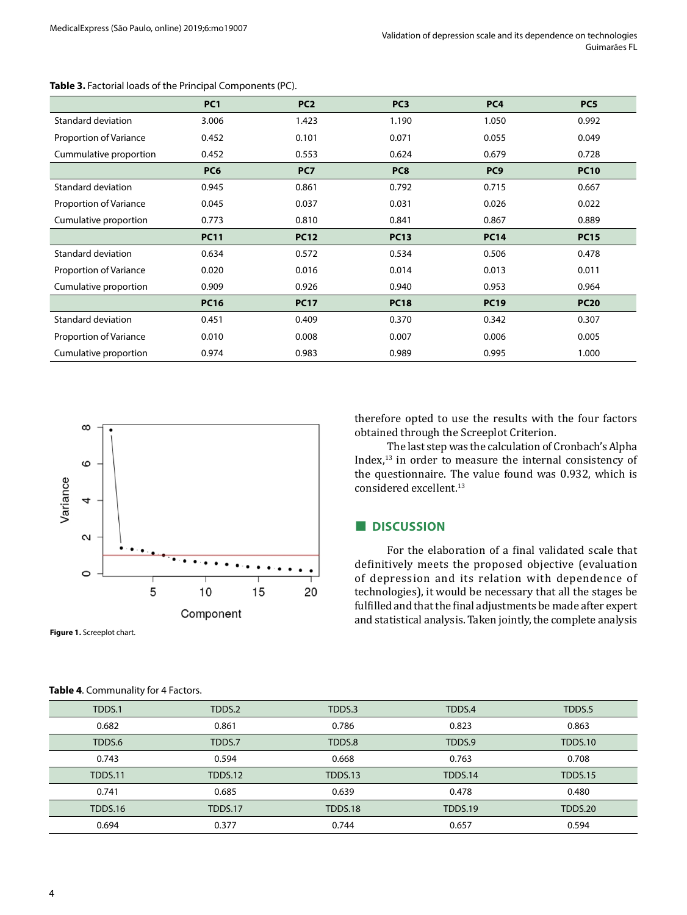|                        | PC <sub>1</sub> | PC <sub>2</sub> | PC <sub>3</sub> | PC <sub>4</sub> | PC <sub>5</sub> |
|------------------------|-----------------|-----------------|-----------------|-----------------|-----------------|
| Standard deviation     | 3.006           | 1.423           | 1.190           | 1.050           | 0.992           |
| Proportion of Variance | 0.452           | 0.101           | 0.071           | 0.055           | 0.049           |
| Cummulative proportion | 0.452           | 0.553           | 0.624           | 0.679           | 0.728           |
|                        | PC6             | PC7             | PC <sub>8</sub> | PC <sub>9</sub> | <b>PC10</b>     |
| Standard deviation     | 0.945           | 0.861           | 0.792           | 0.715           | 0.667           |
| Proportion of Variance | 0.045           | 0.037           | 0.031           | 0.026           | 0.022           |
| Cumulative proportion  | 0.773           | 0.810           | 0.841           | 0.867           | 0.889           |
|                        | <b>PC11</b>     | <b>PC12</b>     | <b>PC13</b>     | <b>PC14</b>     | <b>PC15</b>     |
| Standard deviation     | 0.634           | 0.572           | 0.534           | 0.506           | 0.478           |
| Proportion of Variance | 0.020           | 0.016           | 0.014           | 0.013           | 0.011           |
| Cumulative proportion  | 0.909           | 0.926           | 0.940           | 0.953           | 0.964           |
|                        | <b>PC16</b>     | <b>PC17</b>     | <b>PC18</b>     | <b>PC19</b>     | <b>PC20</b>     |
| Standard deviation     | 0.451           | 0.409           | 0.370           | 0.342           | 0.307           |
| Proportion of Variance | 0.010           | 0.008           | 0.007           | 0.006           | 0.005           |
| Cumulative proportion  | 0.974           | 0.983           | 0.989           | 0.995           | 1.000           |

#### **Table 3.** Factorial loads of the Principal Components (PC).



**Figure 1.** Screeplot chart.

#### **Table 4**. Communality for 4 Factors.

therefore opted to use the results with the four factors obtained through the Screeplot Criterion.

The last step was the calculation of Cronbach's Alpha Index,13 in order to measure the internal consistency of the questionnaire. The value found was 0.932, which is considered excellent.<sup>13</sup>

## **■ DISCUSSION**

For the elaboration of a final validated scale that definitively meets the proposed objective (evaluation of depression and its relation with dependence of technologies), it would be necessary that all the stages be fulfilled and that the final adjustments be made after expert and statistical analysis. Taken jointly, the complete analysis

| TDDS.1         | TDDS.2         | TDDS.3         | TDDS.4         | TDDS.5         |
|----------------|----------------|----------------|----------------|----------------|
| 0.682          | 0.861          | 0.786          | 0.823          | 0.863          |
| TDDS.6         | TDDS.7         | TDDS.8         | TDDS.9         | <b>TDDS.10</b> |
| 0.743          | 0.594          | 0.668          | 0.763          | 0.708          |
| <b>TDDS.11</b> | <b>TDDS.12</b> | TDDS.13        | TDDS.14        | <b>TDDS.15</b> |
| 0.741          | 0.685          | 0.639          | 0.478          | 0.480          |
| <b>TDDS.16</b> | <b>TDDS.17</b> | <b>TDDS.18</b> | <b>TDDS.19</b> | <b>TDDS.20</b> |
| 0.694          | 0.377          | 0.744          | 0.657          | 0.594          |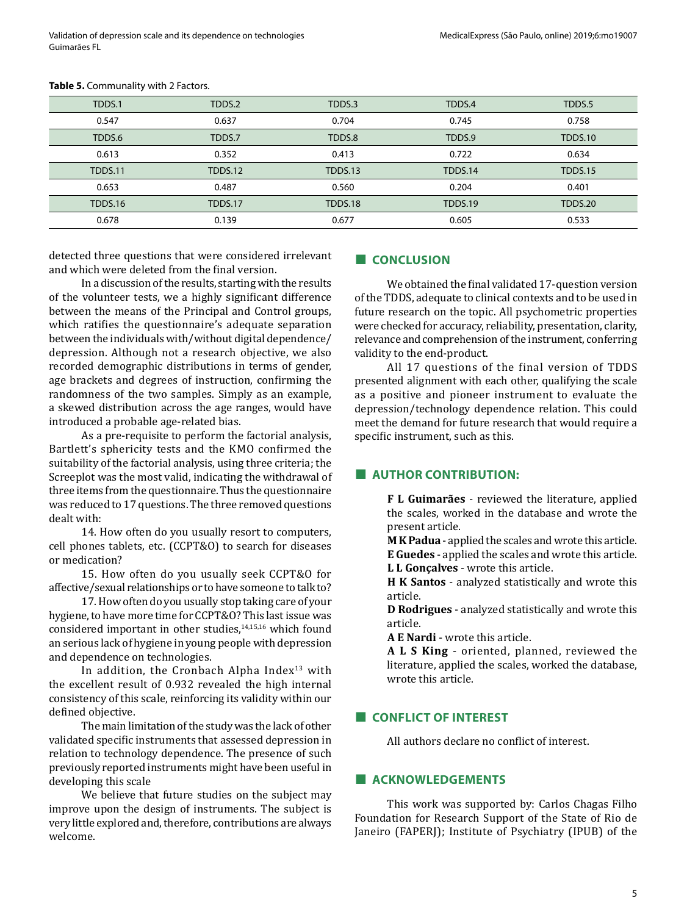| TDDS.1         | TDDS.2  | TDDS.3  | TDDS.4         | TDDS.5         |
|----------------|---------|---------|----------------|----------------|
| 0.547          | 0.637   | 0.704   | 0.745          | 0.758          |
| TDDS.6         | TDDS.7  | TDDS.8  | TDDS.9         | <b>TDDS.10</b> |
| 0.613          | 0.352   | 0.413   | 0.722          | 0.634          |
| <b>TDDS.11</b> | TDDS.12 | TDDS.13 | TDDS.14        | <b>TDDS.15</b> |
| 0.653          | 0.487   | 0.560   | 0.204          | 0.401          |
| <b>TDDS.16</b> | TDDS.17 | TDDS.18 | <b>TDDS.19</b> | <b>TDDS.20</b> |
| 0.678          | 0.139   | 0.677   | 0.605          | 0.533          |
|                |         |         |                |                |

#### **Table 5.** Communality with 2 Factors.

detected three questions that were considered irrelevant and which were deleted from the final version.

In a discussion of the results, starting with the results of the volunteer tests, we a highly significant difference between the means of the Principal and Control groups, which ratifies the questionnaire's adequate separation between the individuals with/without digital dependence/ depression. Although not a research objective, we also recorded demographic distributions in terms of gender, age brackets and degrees of instruction, confirming the randomness of the two samples. Simply as an example, a skewed distribution across the age ranges, would have introduced a probable age-related bias.

As a pre-requisite to perform the factorial analysis, Bartlett's sphericity tests and the KMO confirmed the suitability of the factorial analysis, using three criteria; the Screeplot was the most valid, indicating the withdrawal of three items from the questionnaire. Thus the questionnaire was reduced to 17 questions. The three removed questions dealt with:

14. How often do you usually resort to computers, cell phones tablets, etc. (CCPT&O) to search for diseases or medication?

15. How often do you usually seek CCPT&O for affective/sexual relationships or to have someone to talk to?

17. How often do you usually stop taking care of your hygiene, to have more time for CCPT&O? This last issue was considered important in other studies,<sup>14,15,16</sup> which found an serious lack of hygiene in young people with depression and dependence on technologies.

In addition, the Cronbach Alpha Index $13$  with the excellent result of 0.932 revealed the high internal consistency of this scale, reinforcing its validity within our defined objective.

The main limitation of the study was the lack of other validated specific instruments that assessed depression in relation to technology dependence. The presence of such previously reported instruments might have been useful in developing this scale

We believe that future studies on the subject may improve upon the design of instruments. The subject is very little explored and, therefore, contributions are always welcome.

#### **■ CONCLUSION**

We obtained the final validated 17-question version of the TDDS, adequate to clinical contexts and to be used in future research on the topic. All psychometric properties were checked for accuracy, reliability, presentation, clarity, relevance and comprehension of the instrument, conferring validity to the end-product.

All 17 questions of the final version of TDDS presented alignment with each other, qualifying the scale as a positive and pioneer instrument to evaluate the depression/technology dependence relation. This could meet the demand for future research that would require a specific instrument, such as this.

# **■ AUTHOR CONTRIBUTION:**

**F L Guimarães** - reviewed the literature, applied the scales, worked in the database and wrote the present article.

**M K Padua** - applied the scales and wrote this article. **E Guedes** - applied the scales and wrote this article. **L L Gonçalves** - wrote this article.

**H K Santos** - analyzed statistically and wrote this article.

**D Rodrigues** - analyzed statistically and wrote this article.

**A E Nardi** - wrote this article.

**A L S King** - oriented, planned, reviewed the literature, applied the scales, worked the database, wrote this article.

# **■ CONFLICT OF INTEREST**

All authors declare no conflict of interest.

# **■ ACKNOWLEDGEMENTS**

This work was supported by: Carlos Chagas Filho Foundation for Research Support of the State of Rio de Janeiro (FAPERJ); Institute of Psychiatry (IPUB) of the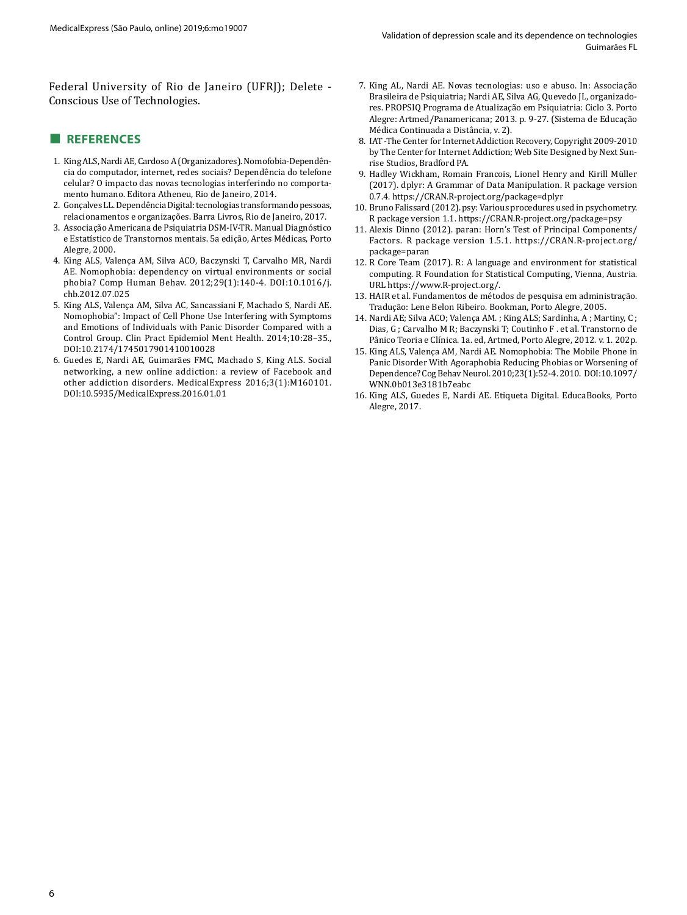Federal University of Rio de Janeiro (UFRJ); Delete - Conscious Use of Technologies.

## **■ REFERENCES**

- 1. King ALS, Nardi AE, Cardoso A (Organizadores). Nomofobia-Dependência do computador, internet, redes sociais? Dependência do telefone celular? O impacto das novas tecnologias interferindo no comportamento humano. Editora Atheneu, Rio de Janeiro, 2014.
- 2. Gonçalves LL. Dependência Digital: tecnologias transformando pessoas, relacionamentos e organizações. Barra Livros, Rio de Janeiro, 2017.
- 3. Associação Americana de Psiquiatria DSM-IV-TR. Manual Diagnóstico e Estatístico de Transtornos mentais. 5a edição, Artes Médicas, Porto Alegre, 2000.
- 4. King ALS, Valença AM, Silva ACO, Baczynski T, Carvalho MR, Nardi AE. Nomophobia: dependency on virtual environments or social phobia? Comp Human Behav. 2012;29(1):140-4. DOI:10.1016/j. chb.2012.07.025
- 5. King ALS, Valença AM, Silva AC, Sancassiani F, Machado S, Nardi AE. Nomophobia": Impact of Cell Phone Use Interfering with Symptoms and Emotions of Individuals with Panic Disorder Compared with a Control Group. Clin Pract Epidemiol Ment Health. 2014;10:28–35., DOI:10.2174/1745017901410010028
- 6. Guedes E, Nardi AE, Guimarães FMC, Machado S, King ALS. Social networking, a new online addiction: a review of Facebook and other addiction disorders. MedicalExpress 2016;3(1):M160101. DOI:10.5935/MedicalExpress.2016.01.01
- 7. King AL, Nardi AE. Novas tecnologias: uso e abuso. In: Associação Brasileira de Psiquiatria; Nardi AE, Silva AG, Quevedo JL, organizadores. PROPSIQ Programa de Atualização em Psiquiatria: Ciclo 3. Porto Alegre: Artmed/Panamericana; 2013. p. 9-27. (Sistema de Educação Médica Continuada a Distância, v. 2).
- 8. IAT -The Center for Internet Addiction Recovery, Copyright 2009-2010 by The Center for Internet Addiction; Web Site Designed by [Next Sun](http://nextsunrise.com/)[rise Studios, Bradford PA](http://nextsunrise.com/).
- 9. Hadley Wickham, Romain Francois, Lionel Henry and Kirill Müller (2017). dplyr: A Grammar of Data Manipulation. R package version 0.7.4.<https://CRAN.R-project.org/package=dplyr>
- 10. Bruno Falissard (2012). psy: Various procedures used in psychometry. R package version 1.1. https://CRAN.R-project.org/package=psy
- 11. Alexis Dinno (2012). paran: Horn's Test of Principal Components/ Factors. R package version 1.5.1. [https://CRAN.R-project.org/](https://CRAN.R-project.org/package=paran) [package=paran](https://CRAN.R-project.org/package=paran)
- 12. R Core Team (2017). R: A language and environment for statistical computing. R Foundation for Statistical Computing, Vienna, Austria. URL [https://www.R-project.org/.](https://www.R-project.org/)
- 13. HAIR et al. Fundamentos de métodos de pesquisa em administração. Tradução: Lene Belon Ribeiro. Bookman, Porto Alegre, 2005.
- 14. Nardi AE; Silva ACO; Valença AM. ; King ALS; Sardinha, A ; Martiny, C ; Dias, G ; Carvalho M R; Baczynski T; Coutinho F . et al. Transtorno de Pânico Teoria e Clínica. 1a. ed, Artmed, Porto Alegre, 2012. v. 1. 202p.
- 15. King ALS, Valença AM, Nardi AE. Nomophobia: The Mobile Phone in Panic Disorder With Agoraphobia Reducing Phobias or Worsening of Dependence? Cog Behav Neurol. 2010;23(1):52-4. 2010. DOI:10.1097/ WNN.0b013e3181b7eabc
- 16. King ALS, Guedes E, Nardi AE. Etiqueta Digital. EducaBooks, Porto Alegre, 2017.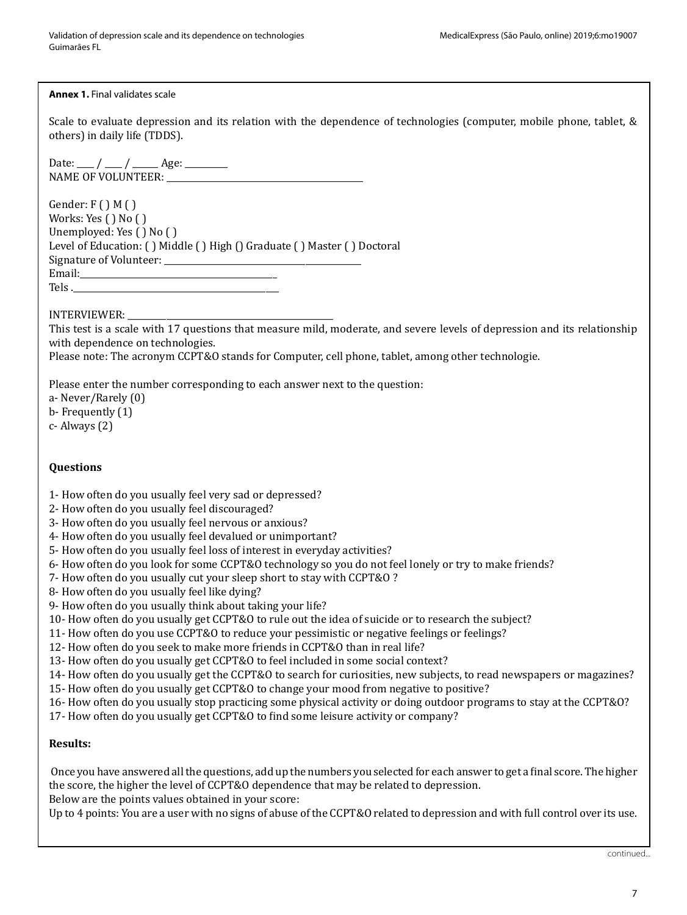#### **Annex 1.** Final validates scale

Scale to evaluate depression and its relation with the dependence of technologies (computer, mobile phone, tablet, & others) in daily life (TDDS).

Date: \_\_\_\_ / \_\_\_\_ / \_\_\_\_\_ Age: \_\_\_\_\_\_\_\_ NAME OF VOLUNTEER:

Gender:  $F()M()$ Works: Yes ( ) No ( ) Unemployed: Yes ( ) No ( ) Level of Education: ( ) Middle ( ) High () Graduate ( ) Master ( ) Doctoral Signature of Volunteer: \_\_\_\_\_\_\_\_\_\_\_\_\_\_\_\_\_\_\_\_\_\_\_\_\_\_\_\_\_\_\_\_\_\_\_\_\_\_\_\_\_\_\_\_\_\_ Email: Tels .

## INTERVIEWER: \_\_\_\_\_\_\_\_\_\_\_\_\_\_\_\_\_\_\_\_\_\_\_\_\_\_\_\_\_\_\_\_\_\_\_\_\_\_\_\_\_\_\_\_\_\_\_\_

This test is a scale with 17 questions that measure mild, moderate, and severe levels of depression and its relationship with dependence on technologies.

Please note: The acronym CCPT&O stands for Computer, cell phone, tablet, among other technologie.

Please enter the number corresponding to each answer next to the question:

a- Never/Rarely (0) b- Frequently (1)

c- Always (2)

# **Questions**

- 1- How often do you usually feel very sad or depressed?
- 2- How often do you usually feel discouraged?
- 3- How often do you usually feel nervous or anxious?
- 4- How often do you usually feel devalued or unimportant?
- 5- How often do you usually feel loss of interest in everyday activities?
- 6- How often do you look for some CCPT&O technology so you do not feel lonely or try to make friends?
- 7- How often do you usually cut your sleep short to stay with CCPT&O ?
- 8- How often do you usually feel like dying?
- 9- How often do you usually think about taking your life?
- 10- How often do you usually get CCPT&O to rule out the idea of suicide or to research the subject?
- 11- How often do you use CCPT&O to reduce your pessimistic or negative feelings or feelings?
- 12- How often do you seek to make more friends in CCPT&O than in real life?
- 13- How often do you usually get CCPT&O to feel included in some social context?
- 14- How often do you usually get the CCPT&O to search for curiosities, new subjects, to read newspapers or magazines?
- 15- How often do you usually get CCPT&O to change your mood from negative to positive?
- 16- How often do you usually stop practicing some physical activity or doing outdoor programs to stay at the CCPT&O?
- 17- How often do you usually get CCPT&O to find some leisure activity or company?

#### **Results:**

 Once you have answered all the questions, add up the numbers you selected for each answer to get a final score. The higher the score, the higher the level of CCPT&O dependence that may be related to depression. Below are the points values obtained in your score:

Up to 4 points: You are a user with no signs of abuse of the CCPT&O related to depression and with full control over its use.